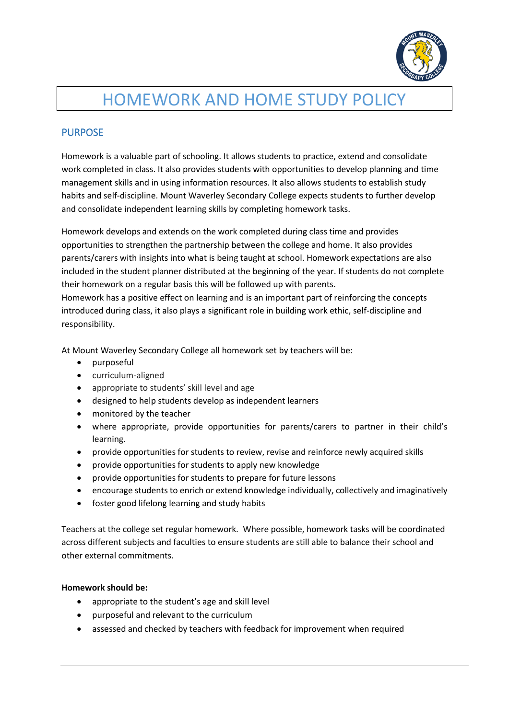

# HOMEWORK AND HOME STUDY POLICY

## PURPOSE

Homework is a valuable part of schooling. It allows students to practice, extend and consolidate work completed in class. It also provides students with opportunities to develop planning and time management skills and in using information resources. It also allows students to establish study habits and self-discipline. Mount Waverley Secondary College expects students to further develop and consolidate independent learning skills by completing homework tasks.

Homework develops and extends on the work completed during class time and provides opportunities to strengthen the partnership between the college and home. It also provides parents/carers with insights into what is being taught at school. Homework expectations are also included in the student planner distributed at the beginning of the year. If students do not complete their homework on a regular basis this will be followed up with parents.

Homework has a positive effect on learning and is an important part of reinforcing the concepts introduced during class, it also plays a significant role in building work ethic, self-discipline and responsibility.

At Mount Waverley Secondary College all homework set by teachers will be:

- purposeful
- curriculum-aligned
- appropriate to students' skill level and age
- designed to help students develop as independent learners
- monitored by the teacher
- where appropriate, provide opportunities for parents/carers to partner in their child's learning.
- provide opportunities for students to review, revise and reinforce newly acquired skills
- provide opportunities for students to apply new knowledge
- provide opportunities for students to prepare for future lessons
- encourage students to enrich or extend knowledge individually, collectively and imaginatively
- foster good lifelong learning and study habits

Teachers at the college set regular homework. Where possible, homework tasks will be coordinated across different subjects and faculties to ensure students are still able to balance their school and other external commitments.

#### **Homework should be:**

- appropriate to the student's age and skill level
- purposeful and relevant to the curriculum
- assessed and checked by teachers with feedback for improvement when required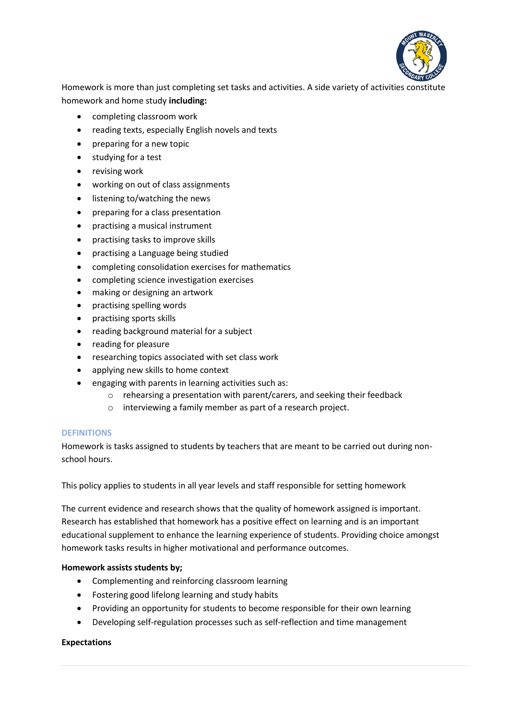

Homework is more than just completing set tasks and activities. A side variety of activities constitute homework and home study **including:**

- completing classroom work
- reading texts, especially English novels and texts
- preparing for a new topic
- studying for a test
- revising work
- working on out of class assignments
- listening to/watching the news
- preparing for a class presentation
- practising a musical instrument
- practising tasks to improve skills
- practising a Language being studied
- completing consolidation exercises for mathematics
- completing science investigation exercises
- making or designing an artwork
- practising spelling words
- practising sports skills
- reading background material for a subject
- reading for pleasure
- researching topics associated with set class work
- applying new skills to home context
- engaging with parents in learning activities such as:
	- o rehearsing a presentation with parent/carers, and seeking their feedback
	- o interviewing a family member as part of a research project.

#### **DEFINITIONS**

Homework is tasks assigned to students by teachers that are meant to be carried out during nonschool hours.

This policy applies to students in all year levels and staff responsible for setting homework

The current evidence and research shows that the quality of homework assigned is important. Research has established that homework has a positive effect on learning and is an important educational supplement to enhance the learning experience of students. Providing choice amongst homework tasks results in higher motivational and performance outcomes.

#### **Homework assists students by;**

- Complementing and reinforcing classroom learning
- Fostering good lifelong learning and study habits
- Providing an opportunity for students to become responsible for their own learning
- Developing self-regulation processes such as self-reflection and time management

#### **Expectations**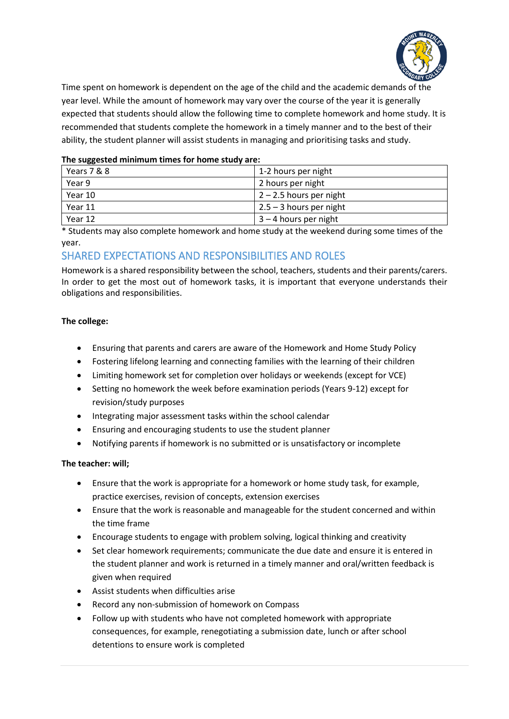

Time spent on homework is dependent on the age of the child and the academic demands of the year level. While the amount of homework may vary over the course of the year it is generally expected that students should allow the following time to complete homework and home study. It is recommended that students complete the homework in a timely manner and to the best of their ability, the student planner will assist students in managing and prioritising tasks and study.

#### **The suggested minimum times for home study are:**

| Years 7 & 8 | 1-2 hours per night       |
|-------------|---------------------------|
| Year 9      | 2 hours per night         |
| Year 10     | $2 - 2.5$ hours per night |
| Year 11     | $2.5 - 3$ hours per night |
| Year 12     | $3 - 4$ hours per night   |

\* Students may also complete homework and home study at the weekend during some times of the year.

### SHARED EXPECTATIONS AND RESPONSIBILITIES AND ROLES

Homework is a shared responsibility between the school, teachers, students and their parents/carers. In order to get the most out of homework tasks, it is important that everyone understands their obligations and responsibilities.

#### **The college:**

- Ensuring that parents and carers are aware of the Homework and Home Study Policy
- Fostering lifelong learning and connecting families with the learning of their children
- Limiting homework set for completion over holidays or weekends (except for VCE)
- Setting no homework the week before examination periods (Years 9-12) except for revision/study purposes
- Integrating major assessment tasks within the school calendar
- Ensuring and encouraging students to use the student planner
- Notifying parents if homework is no submitted or is unsatisfactory or incomplete

#### **The teacher: will;**

- Ensure that the work is appropriate for a homework or home study task, for example, practice exercises, revision of concepts, extension exercises
- Ensure that the work is reasonable and manageable for the student concerned and within the time frame
- Encourage students to engage with problem solving, logical thinking and creativity
- Set clear homework requirements; communicate the due date and ensure it is entered in the student planner and work is returned in a timely manner and oral/written feedback is given when required
- Assist students when difficulties arise
- Record any non-submission of homework on Compass
- Follow up with students who have not completed homework with appropriate consequences, for example, renegotiating a submission date, lunch or after school detentions to ensure work is completed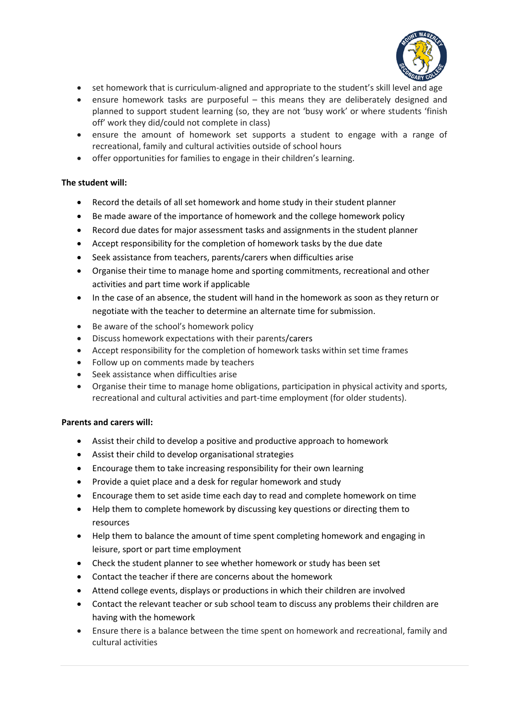

- set homework that is curriculum-aligned and appropriate to the student's skill level and age
- ensure homework tasks are purposeful this means they are deliberately designed and planned to support student learning (so, they are not 'busy work' or where students 'finish off' work they did/could not complete in class)
- ensure the amount of homework set supports a student to engage with a range of recreational, family and cultural activities outside of school hours
- offer opportunities for families to engage in their children's learning.

#### **The student will:**

- Record the details of all set homework and home study in their student planner
- Be made aware of the importance of homework and the college homework policy
- Record due dates for major assessment tasks and assignments in the student planner
- Accept responsibility for the completion of homework tasks by the due date
- Seek assistance from teachers, parents/carers when difficulties arise
- Organise their time to manage home and sporting commitments, recreational and other activities and part time work if applicable
- In the case of an absence, the student will hand in the homework as soon as they return or negotiate with the teacher to determine an alternate time for submission.
- Be aware of the school's homework policy
- Discuss homework expectations with their parents/carers
- Accept responsibility for the completion of homework tasks within set time frames
- Follow up on comments made by teachers
- Seek assistance when difficulties arise
- Organise their time to manage home obligations, participation in physical activity and sports, recreational and cultural activities and part-time employment (for older students).

#### **Parents and carers will:**

- Assist their child to develop a positive and productive approach to homework
- Assist their child to develop organisational strategies
- Encourage them to take increasing responsibility for their own learning
- Provide a quiet place and a desk for regular homework and study
- Encourage them to set aside time each day to read and complete homework on time
- Help them to complete homework by discussing key questions or directing them to resources
- Help them to balance the amount of time spent completing homework and engaging in leisure, sport or part time employment
- Check the student planner to see whether homework or study has been set
- Contact the teacher if there are concerns about the homework
- Attend college events, displays or productions in which their children are involved
- Contact the relevant teacher or sub school team to discuss any problems their children are having with the homework
- Ensure there is a balance between the time spent on homework and recreational, family and cultural activities